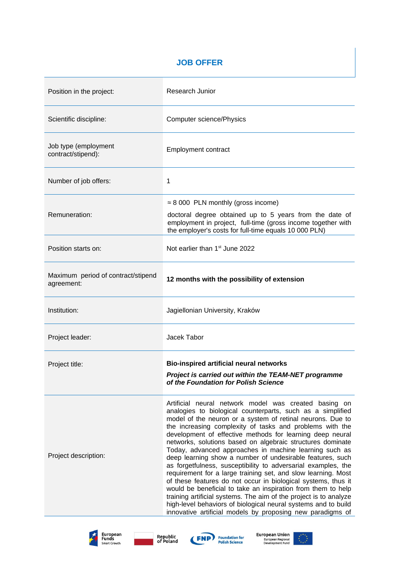## **JOB OFFER**

| Position in the project:                         | Research Junior                                                                                                                                                                                                                                                                                                                                                                                                                                                                                                                                                                                                                                                                                                                                                                                                                                                                                                                                                         |
|--------------------------------------------------|-------------------------------------------------------------------------------------------------------------------------------------------------------------------------------------------------------------------------------------------------------------------------------------------------------------------------------------------------------------------------------------------------------------------------------------------------------------------------------------------------------------------------------------------------------------------------------------------------------------------------------------------------------------------------------------------------------------------------------------------------------------------------------------------------------------------------------------------------------------------------------------------------------------------------------------------------------------------------|
| Scientific discipline:                           | <b>Computer science/Physics</b>                                                                                                                                                                                                                                                                                                                                                                                                                                                                                                                                                                                                                                                                                                                                                                                                                                                                                                                                         |
| Job type (employment<br>contract/stipend):       | Employment contract                                                                                                                                                                                                                                                                                                                                                                                                                                                                                                                                                                                                                                                                                                                                                                                                                                                                                                                                                     |
| Number of job offers:                            | $\mathbf{1}$                                                                                                                                                                                                                                                                                                                                                                                                                                                                                                                                                                                                                                                                                                                                                                                                                                                                                                                                                            |
| Remuneration:                                    | $\approx$ 8 000 PLN monthly (gross income)<br>doctoral degree obtained up to 5 years from the date of<br>employment in project, full-time (gross income together with<br>the employer's costs for full-time equals 10 000 PLN)                                                                                                                                                                                                                                                                                                                                                                                                                                                                                                                                                                                                                                                                                                                                          |
| Position starts on:                              | Not earlier than 1 <sup>st</sup> June 2022                                                                                                                                                                                                                                                                                                                                                                                                                                                                                                                                                                                                                                                                                                                                                                                                                                                                                                                              |
| Maximum period of contract/stipend<br>agreement: | 12 months with the possibility of extension                                                                                                                                                                                                                                                                                                                                                                                                                                                                                                                                                                                                                                                                                                                                                                                                                                                                                                                             |
| Institution:                                     | Jagiellonian University, Kraków                                                                                                                                                                                                                                                                                                                                                                                                                                                                                                                                                                                                                                                                                                                                                                                                                                                                                                                                         |
| Project leader:                                  | Jacek Tabor                                                                                                                                                                                                                                                                                                                                                                                                                                                                                                                                                                                                                                                                                                                                                                                                                                                                                                                                                             |
| Project title:                                   | Bio-inspired artificial neural networks<br>Project is carried out within the TEAM-NET programme<br>of the Foundation for Polish Science                                                                                                                                                                                                                                                                                                                                                                                                                                                                                                                                                                                                                                                                                                                                                                                                                                 |
| Project description:                             | Artificial neural network model was created basing on<br>analogies to biological counterparts, such as a simplified<br>model of the neuron or a system of retinal neurons. Due to<br>the increasing complexity of tasks and problems with the<br>development of effective methods for learning deep neural<br>networks, solutions based on algebraic structures dominate<br>Today, advanced approaches in machine learning such as<br>deep learning show a number of undesirable features, such<br>as forgetfulness, susceptibility to adversarial examples, the<br>requirement for a large training set, and slow learning. Most<br>of these features do not occur in biological systems, thus it<br>would be beneficial to take an inspiration from them to help<br>training artificial systems. The aim of the project is to analyze<br>high-level behaviors of biological neural systems and to build<br>innovative artificial models by proposing new paradigms of |







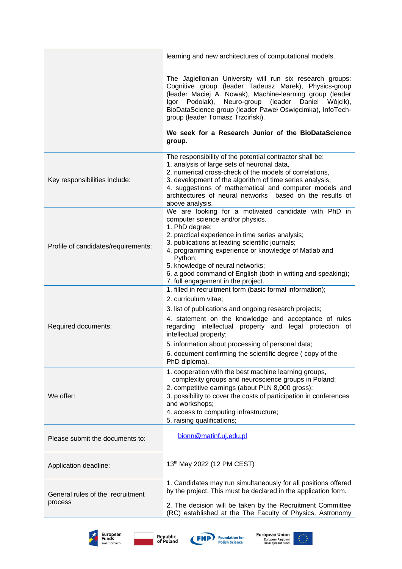|                                             | learning and new architectures of computational models.                                                                                                                                                                                                                                                                                                                                                                        |
|---------------------------------------------|--------------------------------------------------------------------------------------------------------------------------------------------------------------------------------------------------------------------------------------------------------------------------------------------------------------------------------------------------------------------------------------------------------------------------------|
|                                             | The Jagiellonian University will run six research groups:<br>Cognitive group (leader Tadeusz Marek), Physics-group<br>(leader Maciej A. Nowak), Machine-learning group (leader<br>Neuro-group (leader Daniel<br>Igor Podolak),<br>Wójcik),<br>BioDataScience-group (leader Paweł Oświęcimka), InfoTech-<br>group (leader Tomasz Trzciński).<br>We seek for a Research Junior of the BioDataScience<br>group.                   |
|                                             | The responsibility of the potential contractor shall be:                                                                                                                                                                                                                                                                                                                                                                       |
| Key responsibilities include:               | 1. analysis of large sets of neuronal data,<br>2. numerical cross-check of the models of correlations,<br>3. development of the algorithm of time series analysis,<br>4. suggestions of mathematical and computer models and<br>architectures of neural networks based on the results of<br>above analysis.                                                                                                                    |
| Profile of candidates/requirements:         | We are looking for a motivated candidate with PhD in<br>computer science and/or physics.<br>1. PhD degree;<br>2. practical experience in time series analysis;<br>3. publications at leading scientific journals;<br>4. programming experience or knowledge of Matlab and<br>Python;<br>5. knowledge of neural networks;<br>6. a good command of English (both in writing and speaking);<br>7. full engagement in the project. |
| Required documents:                         | 1. filled in recruitment form (basic formal information);<br>2. curriculum vitae;<br>3. list of publications and ongoing research projects;<br>4. statement on the knowledge and acceptance of rules<br>regarding intellectual property and legal protection of<br>intellectual property;<br>5. information about processing of personal data;<br>6. document confirming the scientific degree (copy of the<br>PhD diploma).   |
| We offer:                                   | 1. cooperation with the best machine learning groups,<br>complexity groups and neuroscience groups in Poland;<br>2. competitive earnings (about PLN 8,000 gross);<br>3. possibility to cover the costs of participation in conferences<br>and workshops;<br>4. access to computing infrastructure;<br>5. raising qualifications;                                                                                               |
| Please submit the documents to:             | bionn@matinf.uj.edu.pl                                                                                                                                                                                                                                                                                                                                                                                                         |
| Application deadline:                       | 13th May 2022 (12 PM CEST)                                                                                                                                                                                                                                                                                                                                                                                                     |
| General rules of the recruitment<br>process | 1. Candidates may run simultaneously for all positions offered<br>by the project. This must be declared in the application form.<br>2. The decision will be taken by the Recruitment Committee<br>(RC) established at the The Faculty of Physics, Astronomy                                                                                                                                                                    |